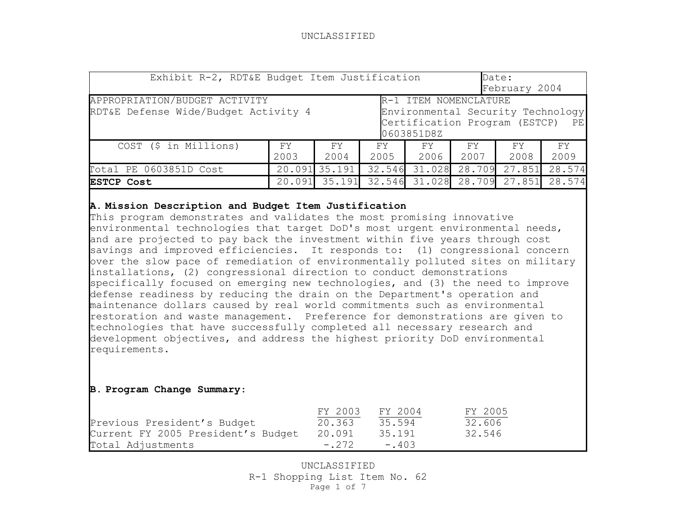| Exhibit R-2, RDT&E Budget Item Justification                                                                                                                                       |            |               |             |            |            | Date:<br>February 2004 |             |  |
|------------------------------------------------------------------------------------------------------------------------------------------------------------------------------------|------------|---------------|-------------|------------|------------|------------------------|-------------|--|
| APPROPRIATION/BUDGET ACTIVITY<br>R-1 ITEM NOMENCLATURE<br>RDT&E Defense Wide/Budget Activity 4<br>Environmental Security Technology<br>Certification Program (ESTCP)<br>0603851D8Z |            |               |             |            |            |                        | PЕ          |  |
| COST (\$ in Millions)                                                                                                                                                              | FY<br>2003 | FY.<br>2004   | FY.<br>2005 | FY<br>2006 | FY<br>2007 | FY.<br>2008            | FY.<br>2009 |  |
| Total PE 0603851D Cost                                                                                                                                                             |            | 20.091 35.191 | 32.546      | 31.028     | 28.709     | 27.851                 | 28.574      |  |
| 31.028<br>27.851<br>35.191<br>28.709<br>32.546<br>28.574<br>20.091<br><b>ESTCP Cost</b>                                                                                            |            |               |             |            |            |                        |             |  |

# **A. Mission Description and Budget Item Justification**

This program demonstrates and validates the most promising innovative environmental technologies that target DoD's most urgent environmental needs, and are projected to pay back the investment within five years through cost savings and improved efficiencies. It responds to: (1) congressional concern over the slow pace of remediation of environmentally polluted sites on military installations, (2) congressional direction to conduct demonstrations specifically focused on emerging new technologies, and (3) the need to improve defense readiness by reducing the drain on the Department's operation and maintenance dollars caused by real world commitments such as environmental restoration and waste management. Preference for demonstrations are given to technologies that have successfully completed all necessary research and development objectives, and address the highest priority DoD environmental requirements.

## **B. Program Change Summary**:

|                                    | FY 2003 | FY 2004 | FY 2005 |
|------------------------------------|---------|---------|---------|
| Previous President's Budget        | 20.363  | 35.594  | 32.606  |
| Current FY 2005 President's Budget | 20.091  | 35.191  | 32.546  |
| Total Adjustments                  | $-.272$ | $-.403$ |         |

UNCLASSIFIED R-1 Shopping List Item No. 62 Page 1 of 7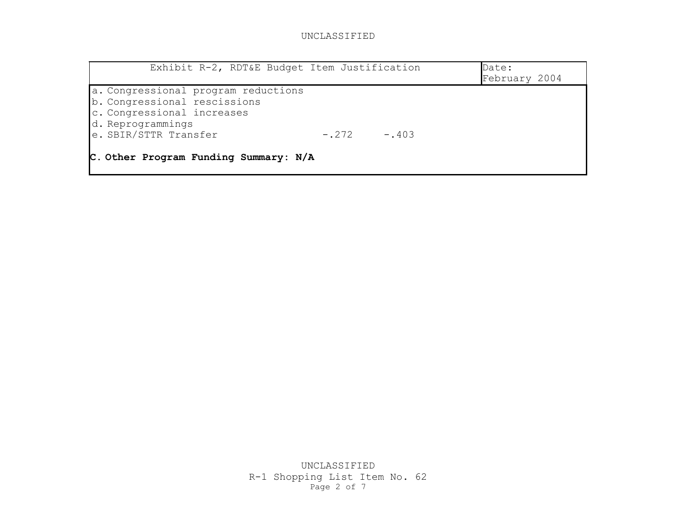| Exhibit R-2, RDT&E Budget Item Justification                        | Date:<br>February 2004 |
|---------------------------------------------------------------------|------------------------|
| a. Congressional program reductions<br>b. Congressional rescissions |                        |
| c. Congressional increases<br>d. Reprogrammings                     |                        |
| e. SBIR/STTR Transfer<br>$-.403$<br>$-272$                          |                        |
| C. Other Program Funding Summary: N/A                               |                        |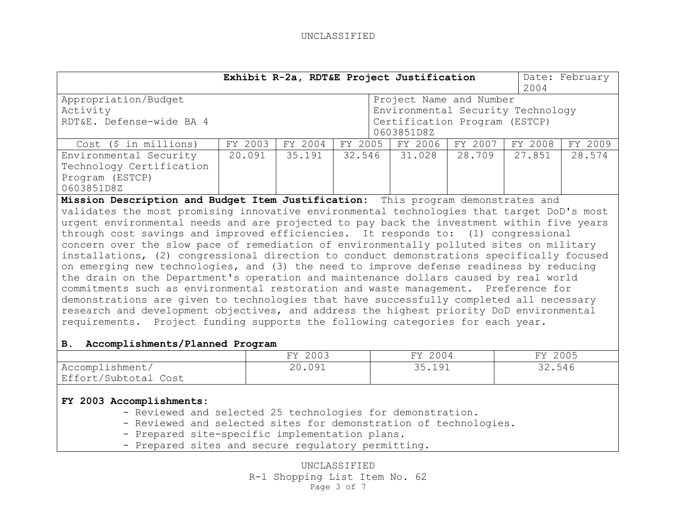|                                                                                                                                                                                    | Exhibit R-2a, RDT&E Project Justification<br>Date: February<br>2004 |         |         |  |                               |         |         |         |
|------------------------------------------------------------------------------------------------------------------------------------------------------------------------------------|---------------------------------------------------------------------|---------|---------|--|-------------------------------|---------|---------|---------|
| Appropriation/Budget<br>Project Name and Number                                                                                                                                    |                                                                     |         |         |  |                               |         |         |         |
| Activity                                                                                                                                                                           | Environmental Security Technology                                   |         |         |  |                               |         |         |         |
| RDT&E. Defense-wide BA 4                                                                                                                                                           |                                                                     |         |         |  | Certification Program (ESTCP) |         |         |         |
|                                                                                                                                                                                    | 0603851D8Z                                                          |         |         |  |                               |         |         |         |
| $Cost$ (\$ in millions)                                                                                                                                                            | FY 2003                                                             | FY 2004 | FY 2005 |  | FY 2006                       | FY 2007 | FY 2008 | FY 2009 |
| Environmental Security                                                                                                                                                             | 20.091                                                              | 35.191  | 32.546  |  | 31.028                        | 28.709  | 27.851  | 28.574  |
| Technology Certification                                                                                                                                                           |                                                                     |         |         |  |                               |         |         |         |
| Program (ESTCP)                                                                                                                                                                    |                                                                     |         |         |  |                               |         |         |         |
| 0603851D8Z                                                                                                                                                                         |                                                                     |         |         |  |                               |         |         |         |
| Mission Description and Budget Item Justification: This program demonstrates and                                                                                                   |                                                                     |         |         |  |                               |         |         |         |
| validates the most promising innovative environmental technologies that target DoD's most                                                                                          |                                                                     |         |         |  |                               |         |         |         |
| urgent environmental needs and are projected to pay back the investment within five years                                                                                          |                                                                     |         |         |  |                               |         |         |         |
| through cost savings and improved efficiencies. It responds to: (1) congressional                                                                                                  |                                                                     |         |         |  |                               |         |         |         |
| concern over the slow pace of remediation of environmentally polluted sites on military                                                                                            |                                                                     |         |         |  |                               |         |         |         |
| installations, (2) congressional direction to conduct demonstrations specifically focused                                                                                          |                                                                     |         |         |  |                               |         |         |         |
| on emerging new technologies, and (3) the need to improve defense readiness by reducing                                                                                            |                                                                     |         |         |  |                               |         |         |         |
| the drain on the Department's operation and maintenance dollars caused by real world                                                                                               |                                                                     |         |         |  |                               |         |         |         |
| commitments such as environmental restoration and waste management. Preference for                                                                                                 |                                                                     |         |         |  |                               |         |         |         |
|                                                                                                                                                                                    |                                                                     |         |         |  |                               |         |         |         |
| demonstrations are given to technologies that have successfully completed all necessary<br>research and development objectives, and address the highest priority DoD environmental |                                                                     |         |         |  |                               |         |         |         |
| requirements. Project funding supports the following categories for each year.                                                                                                     |                                                                     |         |         |  |                               |         |         |         |
|                                                                                                                                                                                    |                                                                     |         |         |  |                               |         |         |         |
| Accomplishments/Planned Program<br>В.                                                                                                                                              |                                                                     |         |         |  |                               |         |         |         |
|                                                                                                                                                                                    |                                                                     | FY 2003 |         |  | FY 2004                       |         | FY 2005 |         |
| Accomplishment/                                                                                                                                                                    | 20.091                                                              |         |         |  | 35.191                        |         | 32.546  |         |
| Effort/Subtotal Cost                                                                                                                                                               |                                                                     |         |         |  |                               |         |         |         |
|                                                                                                                                                                                    |                                                                     |         |         |  |                               |         |         |         |
| FY 2003 Accomplishments:                                                                                                                                                           |                                                                     |         |         |  |                               |         |         |         |
| - Reviewed and selected 25 technologies for demonstration.                                                                                                                         |                                                                     |         |         |  |                               |         |         |         |
| - Reviewed and selected sites for demonstration of technologies.                                                                                                                   |                                                                     |         |         |  |                               |         |         |         |
| - Prepared site-specific implementation plans.                                                                                                                                     |                                                                     |         |         |  |                               |         |         |         |
| - Prepared sites and secure regulatory permitting.                                                                                                                                 |                                                                     |         |         |  |                               |         |         |         |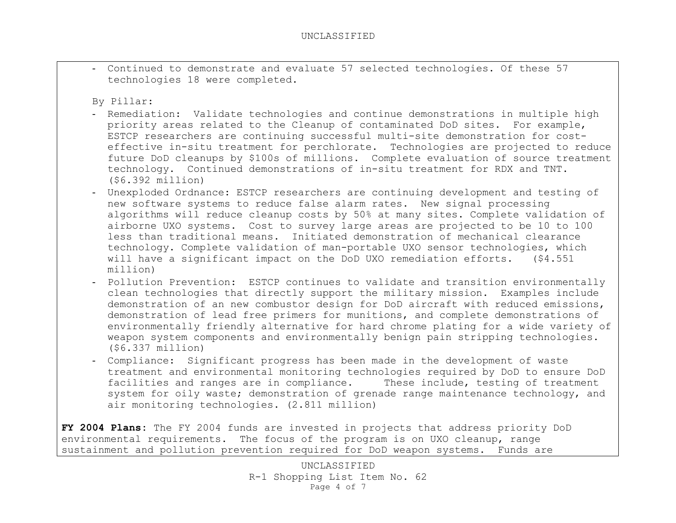- Continued to demonstrate and evaluate 57 selected technologies. Of these 57 technologies 18 were completed.

By Pillar:

- Remediation: Validate technologies and continue demonstrations in multiple high priority areas related to the Cleanup of contaminated DoD sites. For example, ESTCP researchers are continuing successful multi-site demonstration for costeffective in-situ treatment for perchlorate. Technologies are projected to reduce future DoD cleanups by \$100s of millions. Complete evaluation of source treatment technology. Continued demonstrations of in-situ treatment for RDX and TNT. (\$6.392 million)
- Unexploded Ordnance: ESTCP researchers are continuing development and testing of new software systems to reduce false alarm rates. New signal processing algorithms will reduce cleanup costs by 50% at many sites. Complete validation of airborne UXO systems. Cost to survey large areas are projected to be 10 to 100 less than traditional means. Initiated demonstration of mechanical clearance technology. Complete validation of man-portable UXO sensor technologies, which will have a significant impact on the DoD UXO remediation efforts. (\$4.551) million)
- Pollution Prevention: ESTCP continues to validate and transition environmentally clean technologies that directly support the military mission. Examples include demonstration of an new combustor design for DoD aircraft with reduced emissions, demonstration of lead free primers for munitions, and complete demonstrations of environmentally friendly alternative for hard chrome plating for a wide variety of weapon system components and environmentally benign pain stripping technologies. (\$6.337 million)
- Compliance: Significant progress has been made in the development of waste treatment and environmental monitoring technologies required by DoD to ensure DoD facilities and ranges are in compliance. These include, testing of treatment system for oily waste; demonstration of grenade range maintenance technology, and air monitoring technologies. (2.811 million)

**FY 2004 Plans:** The FY 2004 funds are invested in projects that address priority DoD environmental requirements. The focus of the program is on UXO cleanup, range sustainment and pollution prevention required for DoD weapon systems. Funds are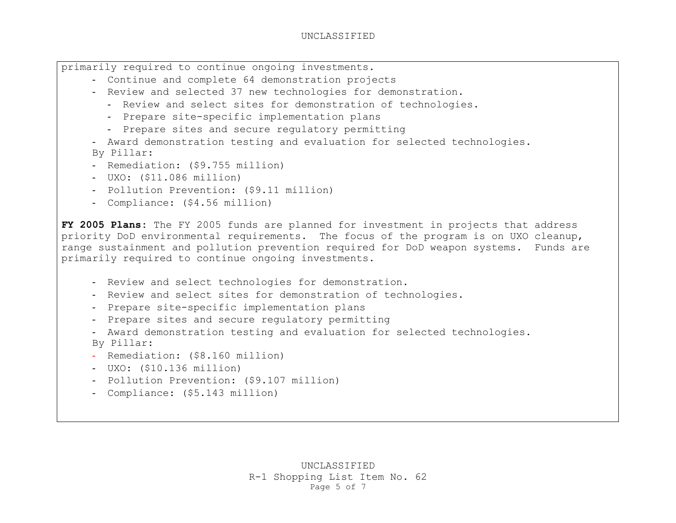primarily required to continue ongoing investments.

- Continue and complete 64 demonstration projects
- Review and selected 37 new technologies for demonstration.
	- Review and select sites for demonstration of technologies.
	- Prepare site-specific implementation plans
	- Prepare sites and secure regulatory permitting
- Award demonstration testing and evaluation for selected technologies.

By Pillar:

- Remediation: (\$9.755 million)
- UXO: (\$11.086 million)
- Pollution Prevention: (\$9.11 million)
- Compliance: (\$4.56 million)

**FY 2005 Plans:** The FY 2005 funds are planned for investment in projects that address priority DoD environmental requirements. The focus of the program is on UXO cleanup, range sustainment and pollution prevention required for DoD weapon systems. Funds are primarily required to continue ongoing investments.

- Review and select technologies for demonstration.
- Review and select sites for demonstration of technologies.
- Prepare site-specific implementation plans
- Prepare sites and secure regulatory permitting
- Award demonstration testing and evaluation for selected technologies. By Pillar:
- Remediation: (\$8.160 million)
- UXO: (\$10.136 million)
- Pollution Prevention: (\$9.107 million)
- Compliance: (\$5.143 million)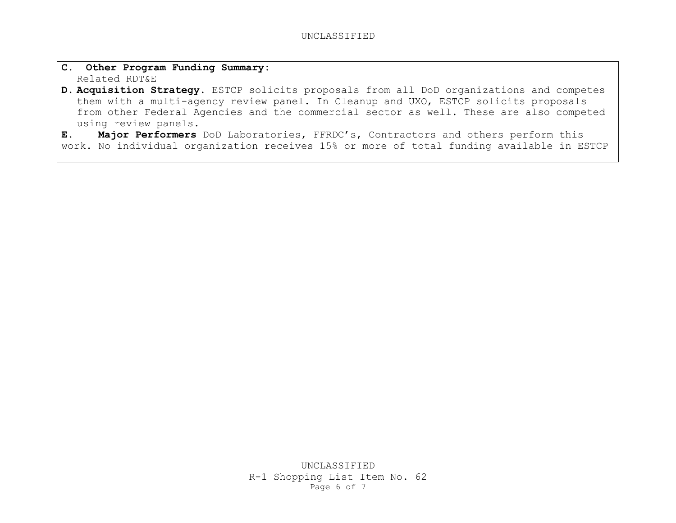- **C. Other Program Funding Summary:**  Related RDT&E
- **D. Acquisition Strategy.** ESTCP solicits proposals from all DoD organizations and competes them with a multi-agency review panel. In Cleanup and UXO, ESTCP solicits proposals from other Federal Agencies and the commercial sector as well. These are also competed using review panels.

**E. Major Performers** DoD Laboratories, FFRDC's, Contractors and others perform this work. No individual organization receives 15% or more of total funding available in ESTCP

> UNCLASSIFIED R-1 Shopping List Item No. 62 Page 6 of 7